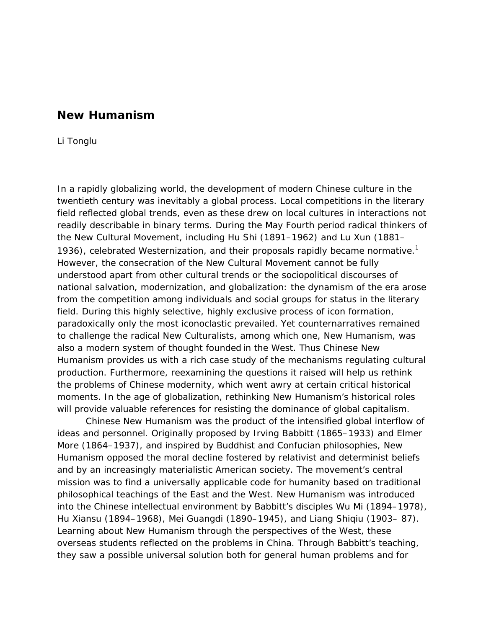## **New Humanism**

## Li Tonglu

In a rapidly globalizing world, the development of modern Chinese culture in the twentieth century was inevitably a global process. Local competitions in the literary field reflected global trends, even as these drew on local cultures in interactions not readily describable in binary terms. During the May Fourth period radical thinkers of the New Cultural Movement, including Hu Shi (1891–1962) and Lu Xun (1881– 1936), celebrated Westernization, and their proposals rapidly became normative.<sup>1</sup> However, the consecration of the New Cultural Movement cannot be fully understood apart from other cultural trends or the sociopolitical discourses of national salvation, modernization, and globalization: the dynamism of the era arose from the competition among individuals and social groups for status in the literary field. During this highly selective, highly exclusive process of icon formation, paradoxically only the most iconoclastic prevailed. Yet counternarratives remained to challenge the radical New Culturalists, among which one, New Humanism, was also a modern system of thought founded in the West. Thus Chinese New Humanism provides us with a rich case study of the mechanisms regulating cultural production. Furthermore, reexamining the questions it raised will help us rethink the problems of Chinese modernity, which went awry at certain critical historical moments. In the age of globalization, rethinking New Humanism's historical roles will provide valuable references for resisting the dominance of global capitalism.

Chinese New Humanism was the product of the intensified global interflow of ideas and personnel. Originally proposed by Irving Babbitt (1865–1933) and Elmer More (1864–1937), and inspired by Buddhist and Confucian philosophies, New Humanism opposed the moral decline fostered by relativist and determinist beliefs and by an increasingly materialistic American society. The movement's central mission was to find a universally applicable code for humanity based on traditional philosophical teachings of the East and the West. New Humanism was introduced into the Chinese intellectual environment by Babbitt's disciples Wu Mi (1894–1978), Hu Xiansu (1894–1968), Mei Guangdi (1890–1945), and Liang Shiqiu (1903– 87). Learning about New Humanism through the perspectives of the West, these overseas students reflected on the problems in China. Through Babbitt's teaching, they saw a possible universal solution both for general human problems and for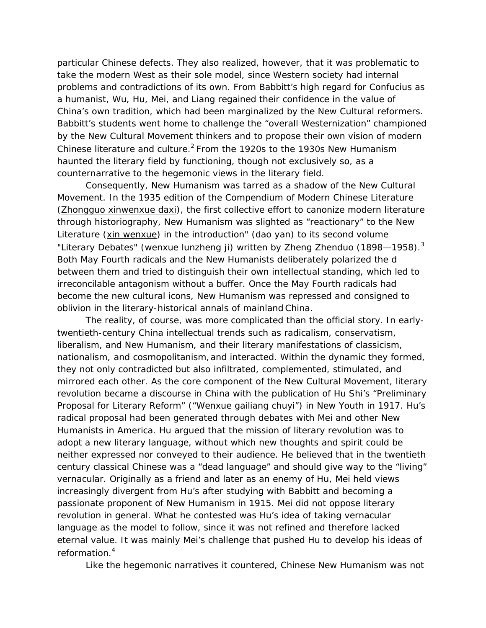particular Chinese defects. They also realized, however, that it was problematic to take the modern West as their sole model, since Western society had internal problems and contradictions of its own. From Babbitt's high regard for Confucius as a humanist, Wu, Hu, Mei, and Liang regained their confidence in the value of China's own tradition, which had been marginalized by the New Cultural reformers. Babbitt's students went home to challenge the "overall Westernization" championed by the New Cultural Movement thinkers and to propose their own vision of modern Chinese literature and culture.<sup>2</sup> From the 1920s to the 1930s New Humanism haunted the literary field by functioning, though not exclusively so, as a counternarrative to the hegemonic views in the literary field.

Consequently, New Humanism was tarred as a shadow of the New Cultural Movement. In the 1935 edition of the Compendium of Modern Chinese Literature (Zhongguo xinwenxue daxi), the first collective effort to canonize modern literature through historiography, New Humanism was slighted as "reactionary" to the New Literature (xin wenxue) in the introduction" (dao yan) to its second volume "Literary Debates" (wenxue lunzheng ji) written by Zheng Zhenduo (1898-1958).<sup>3</sup> Both May Fourth radicals and the New Humanists deliberately polarized the d between them and tried to distinguish their own intellectual standing, which led to irreconcilable antagonism without a buffer. Once the May Fourth radicals had become the new cultural icons, New Humanism was repressed and consigned to oblivion in the literary-historical annals of mainland China.

The reality, of course, was more complicated than the official story. In earlytwentieth-century China intellectual trends such as radicalism, conservatism, liberalism, and New Humanism, and their literary manifestations of classicism, nationalism, and cosmopolitanism, and interacted. Within the dynamic they formed, they not only contradicted but also infiltrated, complemented, stimulated, and mirrored each other. As the core component of the New Cultural Movement, literary revolution became a discourse in China with the publication of Hu Shi's "Preliminary Proposal for Literary Reform" ("Wenxue gailiang chuyi") in New Youth in 1917. Hu's radical proposal had been generated through debates with Mei and other New Humanists in America. Hu argued that the mission of literary revolution was to adopt a new literary language, without which new thoughts and spirit could be neither expressed nor conveyed to their audience. He believed that in the twentieth century classical Chinese was a "dead language" and should give way to the "living" vernacular. Originally as a friend and later as an enemy of Hu, Mei held views increasingly divergent from Hu's after studying with Babbitt and becoming a passionate proponent of New Humanism in 1915. Mei did not oppose literary revolution in general. What he contested was Hu's idea of taking vernacular language as the model to follow, since it was not refined and therefore lacked eternal value. It was mainly Mei's challenge that pushed Hu to develop his ideas of reformation.4

Like the hegemonic narratives it countered, Chinese New Humanism was not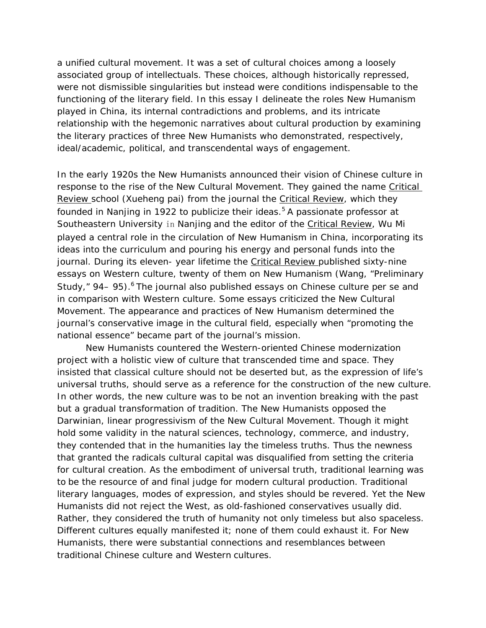a unified cultural movement. It was a set of cultural choices among a loosely associated group of intellectuals. These choices, although historically repressed, were not dismissible singularities but instead were conditions indispensable to the functioning of the literary field. In this essay I delineate the roles New Humanism played in China, its internal contradictions and problems, and its intricate relationship with the hegemonic narratives about cultural production by examining the literary practices of three New Humanists who demonstrated, respectively, ideal/academic, political, and transcendental ways of engagement.

In the early 1920s the New Humanists announced their vision of Chinese culture in response to the rise of the New Cultural Movement. They gained the name Critical Review school (Xueheng pai) from the journal the Critical Review, which they founded in Nanjing in 1922 to publicize their ideas.<sup>5</sup> A passionate professor at Southeastern University in Nanjing and the editor of the Critical Review, Wu Mi played a central role in the circulation of New Humanism in China, incorporating its ideas into the curriculum and pouring his energy and personal funds into the journal. During its eleven- year lifetime the Critical Review published sixty-nine essays on Western culture, twenty of them on New Humanism (Wang, "Preliminary Study," 94– 95). $6$  The journal also published essays on Chinese culture per se and in comparison with Western culture. Some essays criticized the New Cultural Movement. The appearance and practices of New Humanism determined the journal's conservative image in the cultural field, especially when "promoting the national essence" became part of the journal's mission.

New Humanists countered the Western-oriented Chinese modernization project with a holistic view of culture that transcended time and space. They insisted that classical culture should not be deserted but, as the expression of life's universal truths, should serve as a reference for the construction of the new culture. In other words, the new culture was to be not an invention breaking with the past but a gradual transformation of tradition. The New Humanists opposed the Darwinian, linear progressivism of the New Cultural Movement. Though it might hold some validity in the natural sciences, technology, commerce, and industry, they contended that in the humanities lay the timeless truths. Thus the newness that granted the radicals cultural capital was disqualified from setting the criteria for cultural creation. As the embodiment of universal truth, traditional learning was to be the resource of and final judge for modern cultural production. Traditional literary languages, modes of expression, and styles should be revered. Yet the New Humanists did not reject the West, as old-fashioned conservatives usually did. Rather, they considered the truth of humanity not only timeless but also spaceless. Different cultures equally manifested it; none of them could exhaust it. For New Humanists, there were substantial connections and resemblances between traditional Chinese culture and Western cultures.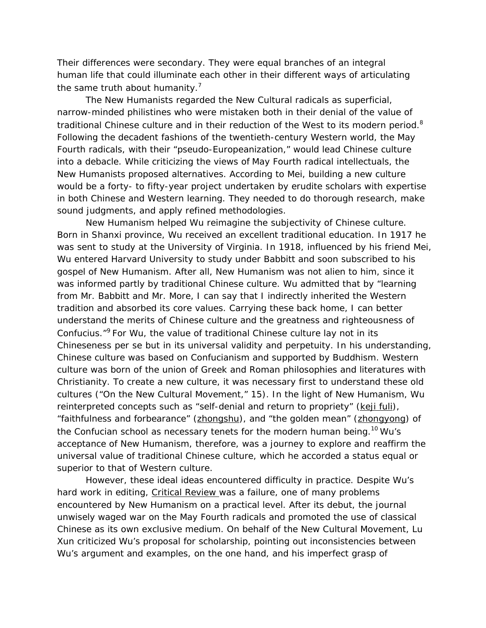Their differences were secondary. They were equal branches of an integral human life that could illuminate each other in their different ways of articulating the same truth about humanity.<sup>7</sup>

The New Humanists regarded the New Cultural radicals as superficial, narrow-minded philistines who were mistaken both in their denial of the value of traditional Chinese culture and in their reduction of the West to its modern period.<sup>8</sup> Following the decadent fashions of the twentieth-century Western world, the May Fourth radicals, with their "pseudo-Europeanization," would lead Chinese culture into a debacle. While criticizing the views of May Fourth radical intellectuals, the New Humanists proposed alternatives. According to Mei, building a new culture would be a forty- to fifty-year project undertaken by erudite scholars with expertise in both Chinese and Western learning. They needed to do thorough research, make sound judgments, and apply refined methodologies.

New Humanism helped Wu reimagine the subjectivity of Chinese culture. Born in Shanxi province, Wu received an excellent traditional education. In 1917 he was sent to study at the University of Virginia. In 1918, influenced by his friend Mei, Wu entered Harvard University to study under Babbitt and soon subscribed to his gospel of New Humanism. After all, New Humanism was not alien to him, since it was informed partly by traditional Chinese culture. Wu admitted that by "learning from Mr. Babbitt and Mr. More, I can say that I indirectly inherited the Western tradition and absorbed its core values. Carrying these back home, I can better understand the merits of Chinese culture and the greatness and righteousness of Confucius."<sup>9</sup> For Wu, the value of traditional Chinese culture lay not in its Chineseness per se but in its universal validity and perpetuity. In his understanding, Chinese culture was based on Confucianism and supported by Buddhism. Western culture was born of the union of Greek and Roman philosophies and literatures with Christianity. To create a new culture, it was necessary first to understand these old cultures ("On the New Cultural Movement," 15). In the light of New Humanism, Wu reinterpreted concepts such as "self-denial and return to propriety" (keji fuli), "faithfulness and forbearance" (zhongshu), and "the golden mean" (zhongyong) of the Confucian school as necessary tenets for the modern human being.<sup>10</sup> Wu's acceptance of New Humanism, therefore, was a journey to explore and reaffirm the universal value of traditional Chinese culture, which he accorded a status equal or superior to that of Western culture.

However, these ideal ideas encountered difficulty in practice. Despite Wu's hard work in editing, Critical Review was a failure, one of many problems encountered by New Humanism on a practical level. After its debut, the journal unwisely waged war on the May Fourth radicals and promoted the use of classical Chinese as its own exclusive medium. On behalf of the New Cultural Movement, Lu Xun criticized Wu's proposal for scholarship, pointing out inconsistencies between Wu's argument and examples, on the one hand, and his imperfect grasp of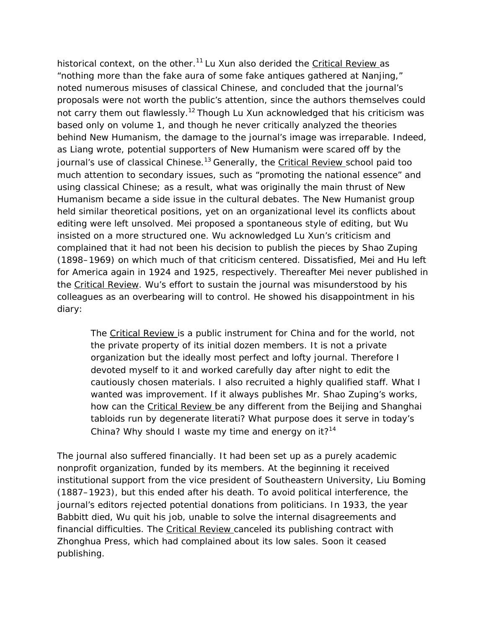historical context, on the other.<sup>11</sup> Lu Xun also derided the Critical Review as "nothing more than the fake aura of some fake antiques gathered at Nanjing," noted numerous misuses of classical Chinese, and concluded that the journal's proposals were not worth the public's attention, since the authors themselves could not carry them out flawlessly.<sup>12</sup> Though Lu Xun acknowledged that his criticism was based only on volume 1, and though he never critically analyzed the theories behind New Humanism, the damage to the journal's image was irreparable. Indeed, as Liang wrote, potential supporters of New Humanism were scared off by the journal's use of classical Chinese.<sup>13</sup> Generally, the Critical Review school paid too much attention to secondary issues, such as "promoting the national essence" and using classical Chinese; as a result, what was originally the main thrust of New Humanism became a side issue in the cultural debates. The New Humanist group held similar theoretical positions, yet on an organizational level its conflicts about editing were left unsolved. Mei proposed a spontaneous style of editing, but Wu insisted on a more structured one. Wu acknowledged Lu Xun's criticism and complained that it had not been his decision to publish the pieces by Shao Zuping (1898–1969) on which much of that criticism centered. Dissatisfied, Mei and Hu left for America again in 1924 and 1925, respectively. Thereafter Mei never published in the Critical Review. Wu's effort to sustain the journal was misunderstood by his colleagues as an overbearing will to control. He showed his disappointment in his diary:

The Critical Review is a public instrument for China and for the world, not the private property of its initial dozen members. It is not a private organization but the ideally most perfect and lofty journal. Therefore I devoted myself to it and worked carefully day after night to edit the cautiously chosen materials. I also recruited a highly qualified staff. What I wanted was improvement. If it always publishes Mr. Shao Zuping's works, how can the Critical Review be any different from the Beijing and Shanghai tabloids run by degenerate literati? What purpose does it serve in today's China? Why should I waste my time and energy on it?<sup>14</sup>

The journal also suffered financially. It had been set up as a purely academic nonprofit organization, funded by its members. At the beginning it received institutional support from the vice president of Southeastern University, Liu Boming (1887–1923), but this ended after his death. To avoid political interference, the journal's editors rejected potential donations from politicians. In 1933, the year Babbitt died, Wu quit his job, unable to solve the internal disagreements and financial difficulties. The Critical Review canceled its publishing contract with Zhonghua Press, which had complained about its low sales. Soon it ceased publishing.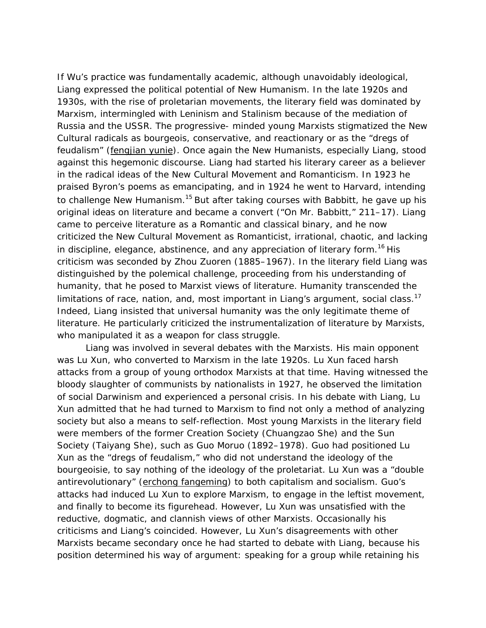If Wu's practice was fundamentally academic, although unavoidably ideological, Liang expressed the political potential of New Humanism. In the late 1920s and 1930s, with the rise of proletarian movements, the literary field was dominated by Marxism, intermingled with Leninism and Stalinism because of the mediation of Russia and the USSR. The progressive- minded young Marxists stigmatized the New Cultural radicals as bourgeois, conservative, and reactionary or as the "dregs of feudalism" (fengjian yunie). Once again the New Humanists, especially Liang, stood against this hegemonic discourse. Liang had started his literary career as a believer in the radical ideas of the New Cultural Movement and Romanticism. In 1923 he praised Byron's poems as emancipating, and in 1924 he went to Harvard, intending to challenge New Humanism.<sup>15</sup> But after taking courses with Babbitt, he gave up his original ideas on literature and became a convert ("On Mr. Babbitt," 211–17). Liang came to perceive literature as a Romantic and classical binary, and he now criticized the New Cultural Movement as Romanticist, irrational, chaotic, and lacking in discipline, elegance, abstinence, and any appreciation of literary form.<sup>16</sup> His criticism was seconded by Zhou Zuoren (1885–1967). In the literary field Liang was distinguished by the polemical challenge, proceeding from his understanding of humanity, that he posed to Marxist views of literature. Humanity transcended the limitations of race, nation, and, most important in Liang's argument, social class.<sup>17</sup> Indeed, Liang insisted that universal humanity was the only legitimate theme of literature. He particularly criticized the instrumentalization of literature by Marxists, who manipulated it as a weapon for class struggle.

Liang was involved in several debates with the Marxists. His main opponent was Lu Xun, who converted to Marxism in the late 1920s. Lu Xun faced harsh attacks from a group of young orthodox Marxists at that time. Having witnessed the bloody slaughter of communists by nationalists in 1927, he observed the limitation of social Darwinism and experienced a personal crisis. In his debate with Liang, Lu Xun admitted that he had turned to Marxism to find not only a method of analyzing society but also a means to self-reflection. Most young Marxists in the literary field were members of the former Creation Society (Chuangzao She) and the Sun Society (Taiyang She), such as Guo Moruo (1892–1978). Guo had positioned Lu Xun as the "dregs of feudalism," who did not understand the ideology of the bourgeoisie, to say nothing of the ideology of the proletariat. Lu Xun was a "double antirevolutionary" (erchong fangeming) to both capitalism and socialism. Guo's attacks had induced Lu Xun to explore Marxism, to engage in the leftist movement, and finally to become its figurehead. However, Lu Xun was unsatisfied with the reductive, dogmatic, and clannish views of other Marxists. Occasionally his criticisms and Liang's coincided. However, Lu Xun's disagreements with other Marxists became secondary once he had started to debate with Liang, because his position determined his way of argument: speaking for a group while retaining his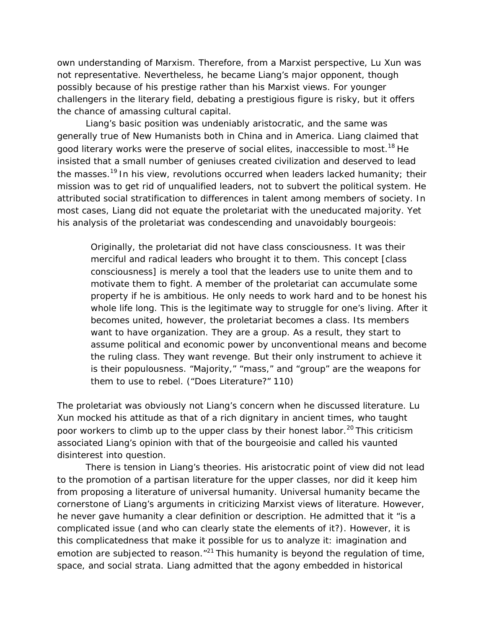own understanding of Marxism. Therefore, from a Marxist perspective, Lu Xun was not representative. Nevertheless, he became Liang's major opponent, though possibly because of his prestige rather than his Marxist views. For younger challengers in the literary field, debating a prestigious figure is risky, but it offers the chance of amassing cultural capital.

Liang's basic position was undeniably aristocratic, and the same was generally true of New Humanists both in China and in America. Liang claimed that good literary works were the preserve of social elites, inaccessible to most.<sup>18</sup> He insisted that a small number of geniuses created civilization and deserved to lead the masses.<sup>19</sup> In his view, revolutions occurred when leaders lacked humanity; their mission was to get rid of unqualified leaders, not to subvert the political system. He attributed social stratification to differences in talent among members of society. In most cases, Liang did not equate the proletariat with the uneducated majority. Yet his analysis of the proletariat was condescending and unavoidably bourgeois:

Originally, the proletariat did not have class consciousness. It was their merciful and radical leaders who brought it to them. This concept [class consciousness] is merely a tool that the leaders use to unite them and to motivate them to fight. A member of the proletariat can accumulate some property if he is ambitious. He only needs to work hard and to be honest his whole life long. This is the legitimate way to struggle for one's living. After it becomes united, however, the proletariat becomes a class. Its members want to have organization. They are a group. As a result, they start to assume political and economic power by unconventional means and become the ruling class. They want revenge. But their only instrument to achieve it is their populousness. "Majority," "mass," and "group" are the weapons for them to use to rebel. ("Does Literature?" 110)

The proletariat was obviously not Liang's concern when he discussed literature. Lu Xun mocked his attitude as that of a rich dignitary in ancient times, who taught poor workers to climb up to the upper class by their honest labor.<sup>20</sup> This criticism associated Liang's opinion with that of the bourgeoisie and called his vaunted disinterest into question.

There is tension in Liang's theories. His aristocratic point of view did not lead to the promotion of a partisan literature for the upper classes, nor did it keep him from proposing a literature of universal humanity. Universal humanity became the cornerstone of Liang's arguments in criticizing Marxist views of literature. However, he never gave humanity a clear definition or description. He admitted that it "is a complicated issue (and who can clearly state the elements of it?). However, it is this complicatedness that make it possible for us to analyze it: imagination and emotion are subjected to reason."<sup>21</sup> This humanity is beyond the regulation of time, space, and social strata. Liang admitted that the agony embedded in historical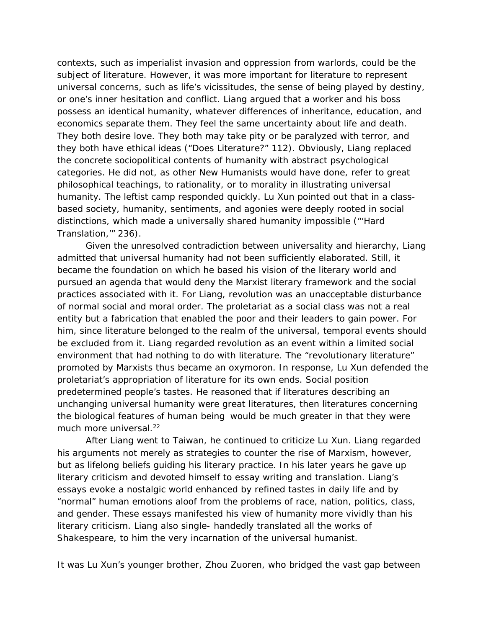contexts, such as imperialist invasion and oppression from warlords, could be the subject of literature. However, it was more important for literature to represent universal concerns, such as life's vicissitudes, the sense of being played by destiny, or one's inner hesitation and conflict. Liang argued that a worker and his boss possess an identical humanity, whatever differences of inheritance, education, and economics separate them. They feel the same uncertainty about life and death. They both desire love. They both may take pity or be paralyzed with terror, and they both have ethical ideas ("Does Literature?" 112). Obviously, Liang replaced the concrete sociopolitical contents of humanity with abstract psychological categories. He did not, as other New Humanists would have done, refer to great philosophical teachings, to rationality, or to morality in illustrating universal humanity. The leftist camp responded quickly. Lu Xun pointed out that in a classbased society, humanity, sentiments, and agonies were deeply rooted in social distinctions, which made a universally shared humanity impossible ("'Hard Translation,'" 236).

Given the unresolved contradiction between universality and hierarchy, Liang admitted that universal humanity had not been sufficiently elaborated. Still, it became the foundation on which he based his vision of the literary world and pursued an agenda that would deny the Marxist literary framework and the social practices associated with it. For Liang, revolution was an unacceptable disturbance of normal social and moral order. The proletariat as a social class was not a real entity but a fabrication that enabled the poor and their leaders to gain power. For him, since literature belonged to the realm of the universal, temporal events should be excluded from it. Liang regarded revolution as an event within a limited social environment that had nothing to do with literature. The "revolutionary literature" promoted by Marxists thus became an oxymoron. In response, Lu Xun defended the proletariat's appropriation of literature for its own ends. Social position predetermined people's tastes. He reasoned that if literatures describing an unchanging universal humanity were great literatures, then literatures concerning the biological features of human being would be much greater in that they were much more universal.<sup>22</sup>

After Liang went to Taiwan, he continued to criticize Lu Xun. Liang regarded his arguments not merely as strategies to counter the rise of Marxism, however, but as lifelong beliefs guiding his literary practice. In his later years he gave up literary criticism and devoted himself to essay writing and translation. Liang's essays evoke a nostalgic world enhanced by refined tastes in daily life and by "normal" human emotions aloof from the problems of race, nation, politics, class, and gender. These essays manifested his view of humanity more vividly than his literary criticism. Liang also single- handedly translated all the works of Shakespeare, to him the very incarnation of the universal humanist.

It was Lu Xun's younger brother, Zhou Zuoren, who bridged the vast gap between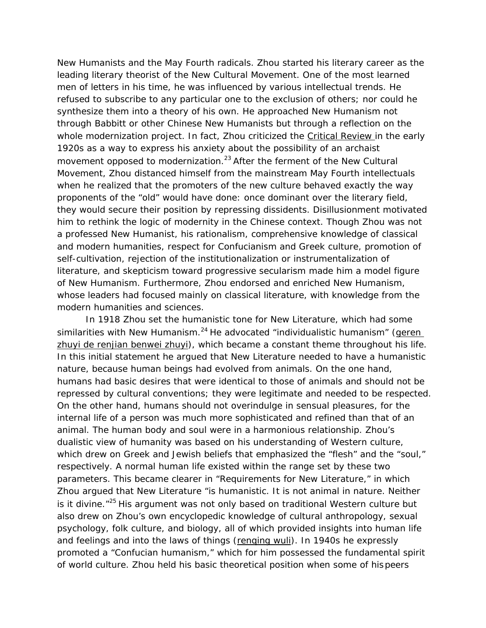New Humanists and the May Fourth radicals. Zhou started his literary career as the leading literary theorist of the New Cultural Movement. One of the most learned men of letters in his time, he was influenced by various intellectual trends. He refused to subscribe to any particular one to the exclusion of others; nor could he synthesize them into a theory of his own. He approached New Humanism not through Babbitt or other Chinese New Humanists but through a reflection on the whole modernization project. In fact, Zhou criticized the Critical Review in the early 1920s as a way to express his anxiety about the possibility of an archaist movement opposed to modernization.<sup>23</sup> After the ferment of the New Cultural Movement, Zhou distanced himself from the mainstream May Fourth intellectuals when he realized that the promoters of the new culture behaved exactly the way proponents of the "old" would have done: once dominant over the literary field, they would secure their position by repressing dissidents. Disillusionment motivated him to rethink the logic of modernity in the Chinese context. Though Zhou was not a professed New Humanist, his rationalism, comprehensive knowledge of classical and modern humanities, respect for Confucianism and Greek culture, promotion of self-cultivation, rejection of the institutionalization or instrumentalization of literature, and skepticism toward progressive secularism made him a model figure of New Humanism. Furthermore, Zhou endorsed and enriched New Humanism, whose leaders had focused mainly on classical literature, with knowledge from the modern humanities and sciences.

In 1918 Zhou set the humanistic tone for New Literature, which had some similarities with New Humanism. $^{24}$  He advocated "individualistic humanism" (geren zhuyi de renjian benwei zhuyi), which became a constant theme throughout his life. In this initial statement he argued that New Literature needed to have a humanistic nature, because human beings had evolved from animals. On the one hand, humans had basic desires that were identical to those of animals and should not be repressed by cultural conventions; they were legitimate and needed to be respected. On the other hand, humans should not overindulge in sensual pleasures, for the internal life of a person was much more sophisticated and refined than that of an animal. The human body and soul were in a harmonious relationship. Zhou's dualistic view of humanity was based on his understanding of Western culture, which drew on Greek and Jewish beliefs that emphasized the "flesh" and the "soul," respectively. A normal human life existed within the range set by these two parameters. This became clearer in "Requirements for New Literature," in which Zhou argued that New Literature "is humanistic. It is not animal in nature. Neither is it divine."<sup>25</sup> His argument was not only based on traditional Western culture but also drew on Zhou's own encyclopedic knowledge of cultural anthropology, sexual psychology, folk culture, and biology, all of which provided insights into human life and feelings and into the laws of things (renging wuli). In 1940s he expressly promoted a "Confucian humanism," which for him possessed the fundamental spirit of world culture. Zhou held his basic theoretical position when some of his peers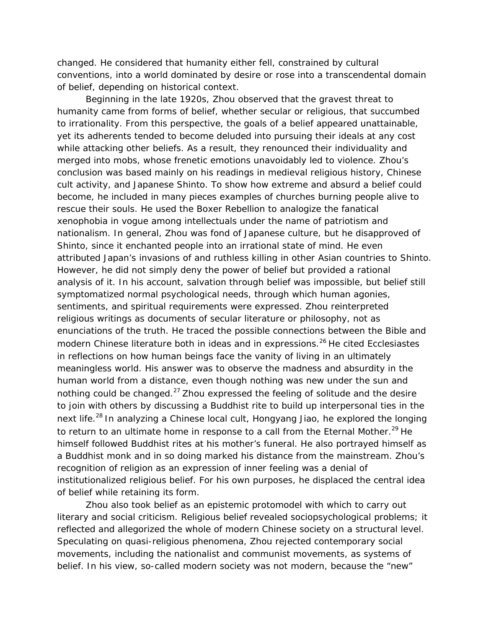changed. He considered that humanity either fell, constrained by cultural conventions, into a world dominated by desire or rose into a transcendental domain of belief, depending on historical context.

Beginning in the late 1920s, Zhou observed that the gravest threat to humanity came from forms of belief, whether secular or religious, that succumbed to irrationality. From this perspective, the goals of a belief appeared unattainable, yet its adherents tended to become deluded into pursuing their ideals at any cost while attacking other beliefs. As a result, they renounced their individuality and merged into mobs, whose frenetic emotions unavoidably led to violence. Zhou's conclusion was based mainly on his readings in medieval religious history, Chinese cult activity, and Japanese Shinto. To show how extreme and absurd a belief could become, he included in many pieces examples of churches burning people alive to rescue their souls. He used the Boxer Rebellion to analogize the fanatical xenophobia in vogue among intellectuals under the name of patriotism and nationalism. In general, Zhou was fond of Japanese culture, but he disapproved of Shinto, since it enchanted people into an irrational state of mind. He even attributed Japan's invasions of and ruthless killing in other Asian countries to Shinto. However, he did not simply deny the power of belief but provided a rational analysis of it. In his account, salvation through belief was impossible, but belief still symptomatized normal psychological needs, through which human agonies, sentiments, and spiritual requirements were expressed. Zhou reinterpreted religious writings as documents of secular literature or philosophy, not as enunciations of the truth. He traced the possible connections between the Bible and modern Chinese literature both in ideas and in expressions.<sup>26</sup> He cited Ecclesiastes in reflections on how human beings face the vanity of living in an ultimately meaningless world. His answer was to observe the madness and absurdity in the human world from a distance, even though nothing was new under the sun and nothing could be changed. $^{27}$  Zhou expressed the feeling of solitude and the desire to join with others by discussing a Buddhist rite to build up interpersonal ties in the next life.<sup>28</sup> In analyzing a Chinese local cult, Hongyang Jiao, he explored the longing to return to an ultimate home in response to a call from the Eternal Mother.<sup>29</sup> He himself followed Buddhist rites at his mother's funeral. He also portrayed himself as a Buddhist monk and in so doing marked his distance from the mainstream. Zhou's recognition of religion as an expression of inner feeling was a denial of institutionalized religious belief. For his own purposes, he displaced the central idea of belief while retaining its form.

Zhou also took belief as an epistemic protomodel with which to carry out literary and social criticism. Religious belief revealed sociopsychological problems; it reflected and allegorized the whole of modern Chinese society on a structural level. Speculating on quasi-religious phenomena, Zhou rejected contemporary social movements, including the nationalist and communist movements, as systems of belief. In his view, so-called modern society was not modern, because the "new"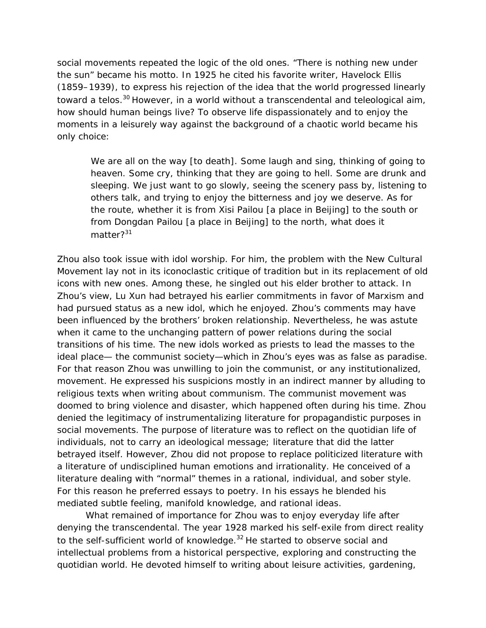social movements repeated the logic of the old ones. "There is nothing new under the sun" became his motto. In 1925 he cited his favorite writer, Havelock Ellis (1859–1939), to express his rejection of the idea that the world progressed linearly toward a telos.<sup>30</sup> However, in a world without a transcendental and teleological aim, how should human beings live? To observe life dispassionately and to enjoy the moments in a leisurely way against the background of a chaotic world became his only choice:

We are all on the way [to death]. Some laugh and sing, thinking of going to heaven. Some cry, thinking that they are going to hell. Some are drunk and sleeping. We just want to go slowly, seeing the scenery pass by, listening to others talk, and trying to enjoy the bitterness and joy we deserve. As for the route, whether it is from Xisi Pailou [a place in Beijing] to the south or from Dongdan Pailou [a place in Beijing] to the north, what does it matter<sup>231</sup>

Zhou also took issue with idol worship. For him, the problem with the New Cultural Movement lay not in its iconoclastic critique of tradition but in its replacement of old icons with new ones. Among these, he singled out his elder brother to attack. In Zhou's view, Lu Xun had betrayed his earlier commitments in favor of Marxism and had pursued status as a new idol, which he enjoyed. Zhou's comments may have been influenced by the brothers' broken relationship. Nevertheless, he was astute when it came to the unchanging pattern of power relations during the social transitions of his time. The new idols worked as priests to lead the masses to the ideal place— the communist society—which in Zhou's eyes was as false as paradise. For that reason Zhou was unwilling to join the communist, or any institutionalized, movement. He expressed his suspicions mostly in an indirect manner by alluding to religious texts when writing about communism. The communist movement was doomed to bring violence and disaster, which happened often during his time. Zhou denied the legitimacy of instrumentalizing literature for propagandistic purposes in social movements. The purpose of literature was to reflect on the quotidian life of individuals, not to carry an ideological message; literature that did the latter betrayed itself. However, Zhou did not propose to replace politicized literature with a literature of undisciplined human emotions and irrationality. He conceived of a literature dealing with "normal" themes in a rational, individual, and sober style. For this reason he preferred essays to poetry. In his essays he blended his mediated subtle feeling, manifold knowledge, and rational ideas.

 What remained of importance for Zhou was to enjoy everyday life after denying the transcendental. The year 1928 marked his self-exile from direct reality to the self-sufficient world of knowledge.<sup>32</sup> He started to observe social and intellectual problems from a historical perspective, exploring and constructing the quotidian world. He devoted himself to writing about leisure activities, gardening,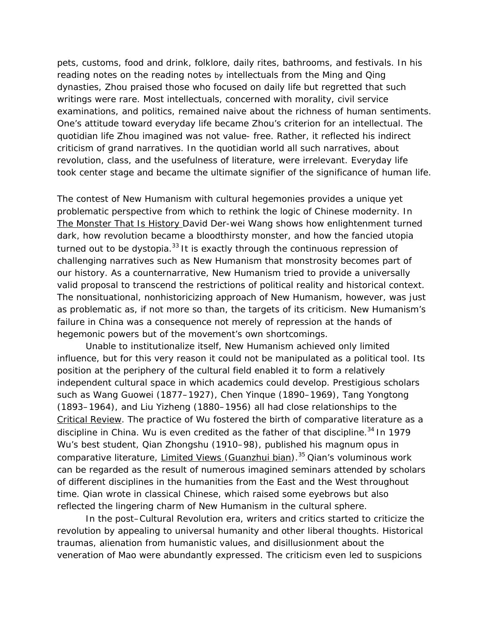pets, customs, food and drink, folklore, daily rites, bathrooms, and festivals. In his reading notes on the reading notes by intellectuals from the Ming and Qing dynasties, Zhou praised those who focused on daily life but regretted that such writings were rare. Most intellectuals, concerned with morality, civil service examinations, and politics, remained naive about the richness of human sentiments. One's attitude toward everyday life became Zhou's criterion for an intellectual. The quotidian life Zhou imagined was not value- free. Rather, it reflected his indirect criticism of grand narratives. In the quotidian world all such narratives, about revolution, class, and the usefulness of literature, were irrelevant. Everyday life took center stage and became the ultimate signifier of the significance of human life.

The contest of New Humanism with cultural hegemonies provides a unique yet problematic perspective from which to rethink the logic of Chinese modernity. In The Monster That Is History David Der-wei Wang shows how enlightenment turned dark, how revolution became a bloodthirsty monster, and how the fancied utopia turned out to be dystopia. $33$  It is exactly through the continuous repression of challenging narratives such as New Humanism that monstrosity becomes part of our history. As a counternarrative, New Humanism tried to provide a universally valid proposal to transcend the restrictions of political reality and historical context. The nonsituational, nonhistoricizing approach of New Humanism, however, was just as problematic as, if not more so than, the targets of its criticism. New Humanism's failure in China was a consequence not merely of repression at the hands of hegemonic powers but of the movement's own shortcomings.

 Unable to institutionalize itself, New Humanism achieved only limited influence, but for this very reason it could not be manipulated as a political tool. Its position at the periphery of the cultural field enabled it to form a relatively independent cultural space in which academics could develop. Prestigious scholars such as Wang Guowei (1877–1927), Chen Yinque (1890–1969), Tang Yongtong (1893–1964), and Liu Yizheng (1880–1956) all had close relationships to the Critical Review. The practice of Wu fostered the birth of comparative literature as a discipline in China. Wu is even credited as the father of that discipline.<sup>34</sup> In 1979 Wu's best student, Qian Zhongshu (1910–98), published his magnum opus in comparative literature, Limited Views (Guanzhui bian).<sup>35</sup> Qian's voluminous work can be regarded as the result of numerous imagined seminars attended by scholars of different disciplines in the humanities from the East and the West throughout time. Qian wrote in classical Chinese, which raised some eyebrows but also reflected the lingering charm of New Humanism in the cultural sphere.

 In the post–Cultural Revolution era, writers and critics started to criticize the revolution by appealing to universal humanity and other liberal thoughts. Historical traumas, alienation from humanistic values, and disillusionment about the veneration of Mao were abundantly expressed. The criticism even led to suspicions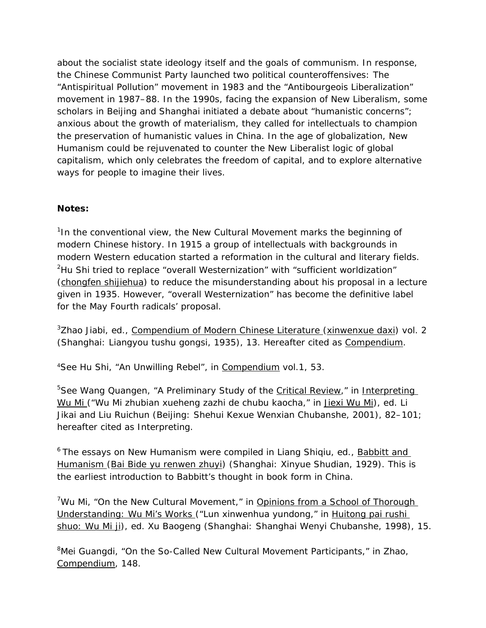about the socialist state ideology itself and the goals of communism. In response, the Chinese Communist Party launched two political counteroffensives: The "Antispiritual Pollution" movement in 1983 and the "Antibourgeois Liberalization" movement in 1987–88. In the 1990s, facing the expansion of New Liberalism, some scholars in Beijing and Shanghai initiated a debate about "humanistic concerns"; anxious about the growth of materialism, they called for intellectuals to champion the preservation of humanistic values in China. In the age of globalization, New Humanism could be rejuvenated to counter the New Liberalist logic of global capitalism, which only celebrates the freedom of capital, and to explore alternative ways for people to imagine their lives.

## **Notes:**

<sup>1</sup>In the conventional view, the New Cultural Movement marks the beginning of modern Chinese history. In 1915 a group of intellectuals with backgrounds in modern Western education started a reformation in the cultural and literary fields. <sup>2</sup>Hu Shi tried to replace "overall Westernization" with "sufficient worldization" (chongfen shijiehua) to reduce the misunderstanding about his proposal in a lecture given in 1935. However, "overall Westernization" has become the definitive label for the May Fourth radicals' proposal.

<sup>3</sup>Zhao Jiabi, ed., Compendium of Modern Chinese Literature (xinwenxue daxi) vol. 2 (Shanghai: Liangyou tushu gongsi, 1935), 13. Hereafter cited as Compendium.

4See Hu Shi, "An Unwilling Rebel", in Compendium vol.1, 53.

<sup>5</sup>See Wang Quangen, "A Preliminary Study of the *Critical Review*," in Interpreting Wu Mi ("Wu Mi zhubian xueheng zazhi de chubu kaocha," in Jiexi Wu Mi), ed. Li Jikai and Liu Ruichun (Beijing: Shehui Kexue Wenxian Chubanshe, 2001), 82–101; hereafter cited as Interpreting.

<sup>6</sup> The essays on New Humanism were compiled in Liang Shigiu, ed., Babbitt and Humanism (Bai Bide yu renwen zhuyi) (Shanghai: Xinyue Shudian, 1929). This is the earliest introduction to Babbitt's thought in book form in China.

<sup>7</sup>Wu Mi, "On the New Cultural Movement," in Opinions from a School of Thorough Understanding: Wu Mi's Works ("Lun xinwenhua yundong," in Huitong pai rushi shuo: Wu Mi ji), ed. Xu Baogeng (Shanghai: Shanghai Wenyi Chubanshe, 1998), 15.

<sup>8</sup>Mei Guangdi, "On the So-Called New Cultural Movement Participants," in Zhao, Compendium, 148.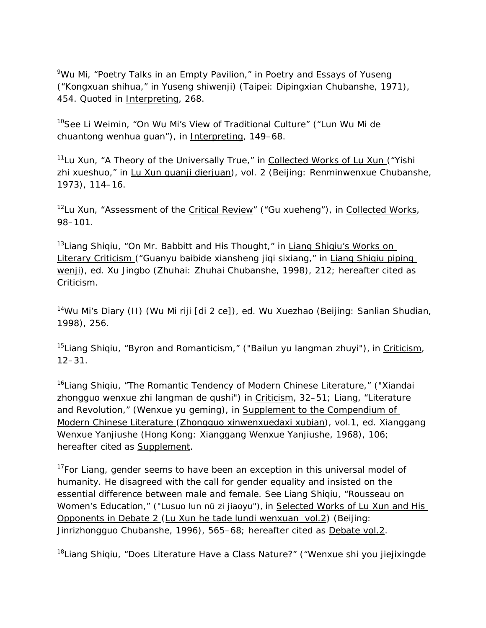<sup>9</sup>Wu Mi, "Poetry Talks in an Empty Pavilion," in **Poetry and Essays of Yuseng** ("Kongxuan shihua," in Yuseng shiwenji) (Taipei: Dipingxian Chubanshe, 1971), 454. Quoted in Interpreting, 268.

<sup>10</sup>See Li Weimin, "On Wu Mi's View of Traditional Culture" ("Lun Wu Mi de chuantong wenhua guan"), in Interpreting, 149–68.

<sup>11</sup>Lu Xun, "A Theory of the Universally True," in Collected Works of Lu Xun ("Yishi zhi xueshuo," in Lu Xun quanji dierjuan), vol. 2 (Beijing: Renminwenxue Chubanshe, 1973), 114–16.

 $12$ Lu Xun, "Assessment of the Critical Review" ("Gu xueheng"), in Collected Works, 98–101.

<sup>13</sup>Liang Shigiu, "On Mr. Babbitt and His Thought," in Liang Shigiu's Works on Literary Criticism ("Guanyu baibide xiansheng jiqi sixiang," in Liang Shiqiu piping wenji), ed. Xu Jingbo (Zhuhai: Zhuhai Chubanshe, 1998), 212; hereafter cited as Criticism.

14Wu Mi's Diary (II) (Wu Mi riji [di 2 ce]), ed. Wu Xuezhao (Beijing: Sanlian Shudian, 1998), 256.

<sup>15</sup>Liang Shiqiu, "Byron and Romanticism," ("Bailun yu langman zhuyi"), in Criticism, 12–31.

<sup>16</sup>Liang Shigiu, "The Romantic Tendency of Modern Chinese Literature," ("Xiandai zhongguo wenxue zhi langman de qushi") in Criticism, 32–51; Liang, "Literature and Revolution," (Wenxue yu geming), in Supplement to the Compendium of Modern Chinese Literature (Zhongguo xinwenxuedaxi xubian), vol.1, ed. Xianggang Wenxue Yanjiushe (Hong Kong: Xianggang Wenxue Yanjiushe, 1968), 106; hereafter cited as Supplement.

 $17$ For Liang, gender seems to have been an exception in this universal model of humanity. He disagreed with the call for gender equality and insisted on the essential difference between male and female. See Liang Shiqiu, "Rousseau on Women's Education," ("Lusuo lun nü zi jiaoyu"), in Selected Works of Lu Xun and His Opponents in Debate 2 (Lu Xun he tade lundi wenxuan vol.2) (Beijing: Jinrizhongguo Chubanshe, 1996), 565–68; hereafter cited as Debate vol.2.

<sup>18</sup>Liang Shigiu, "Does Literature Have a Class Nature?" ("Wenxue shi you jiejixingde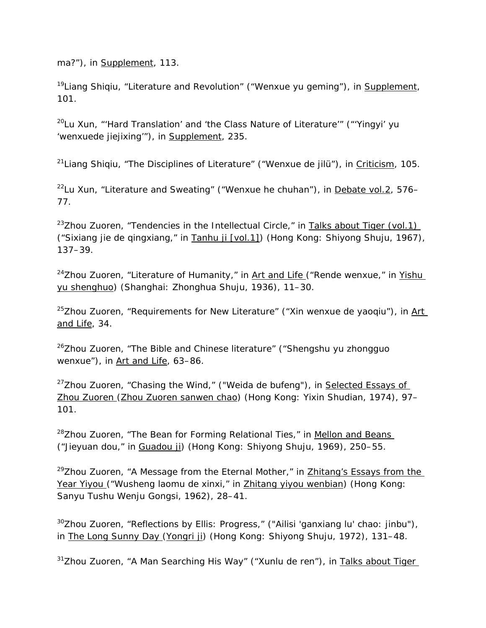ma?"), in Supplement, 113.

<sup>19</sup>Liang Shiqiu, "Literature and Revolution" ("Wenxue yu geming"), in Supplement, 101.

<sup>20</sup>Lu Xun, "'Hard Translation' and 'the Class Nature of Literature'" ("'Yingyi' yu 'wenxuede jiejixing'"), in Supplement, 235.

 $21$ Liang Shiqiu, "The Disciplines of Literature" ("Wenxue de jilü"), in Criticism, 105.

 $22$ Lu Xun, "Literature and Sweating" ("Wenxue he chuhan"), in Debate vol.2, 576– 77.

 $23$ Zhou Zuoren, "Tendencies in the Intellectual Circle," in Talks about Tiger (vol.1) ("Sixiang jie de qingxiang," in Tanhu ji [vol.1]) (Hong Kong: Shiyong Shuju, 1967), 137–39.

 $24$ Zhou Zuoren, "Literature of Humanity," in Art and Life ("Rende wenxue," in Yishu yu shenghuo) (Shanghai: Zhonghua Shuju, 1936), 11–30.

 $25$ Zhou Zuoren, "Requirements for New Literature" ("Xin wenxue de yaoqiu"), in Art and Life, 34.

 $26$ Zhou Zuoren, "The Bible and Chinese literature" ("Shengshu yu zhongguo wenxue"), in Art and Life, 63–86.

<sup>27</sup>Zhou Zuoren, "Chasing the Wind," ("Weida de bufeng"), in Selected Essays of Zhou Zuoren (Zhou Zuoren sanwen chao) (Hong Kong: Yixin Shudian, 1974), 97– 101.

<sup>28</sup>Zhou Zuoren, "The Bean for Forming Relational Ties," in Mellon and Beans ("Jieyuan dou," in Guadou ji) (Hong Kong: Shiyong Shuju, 1969), 250–55.

 $29$ Zhou Zuoren, "A Message from the Eternal Mother," in  $Z$ hitang's Essays from the Year Yiyou ("Wusheng laomu de xinxi," in Zhitang yiyou wenbian) (Hong Kong: Sanyu Tushu Wenju Gongsi, 1962), 28–41.

<sup>30</sup>Zhou Zuoren, "Reflections by Ellis: Progress," ("Ailisi 'ganxiang lu' chao: jinbu"), in The Long Sunny Day (Yongri ji) (Hong Kong: Shiyong Shuju, 1972), 131–48.

 $31$ Zhou Zuoren, "A Man Searching His Way" ("Xunlu de ren"), in Talks about Tiger